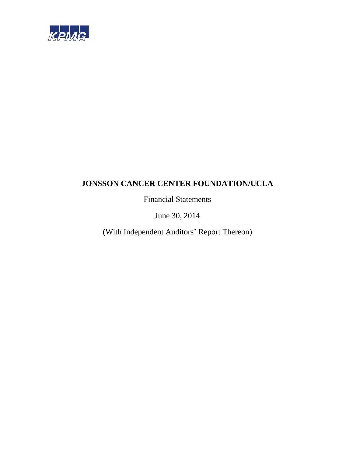

Financial Statements

June 30, 2014

(With Independent Auditors' Report Thereon)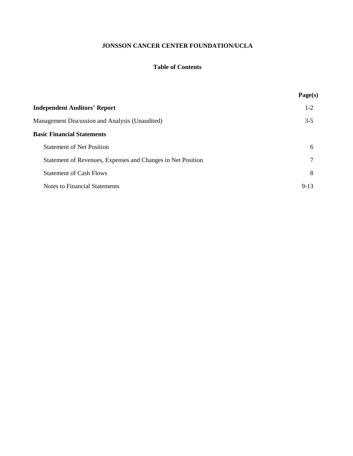# **Table of Contents**

|                                                             | Page(s)  |
|-------------------------------------------------------------|----------|
| <b>Independent Auditors' Report</b>                         | $1 - 2$  |
| Management Discussion and Analysis (Unaudited)              | $3 - 5$  |
| <b>Basic Financial Statements</b>                           |          |
| <b>Statement of Net Position</b>                            | 6        |
| Statement of Revenues, Expenses and Changes in Net Position |          |
| <b>Statement of Cash Flows</b>                              | 8        |
| Notes to Financial Statements                               | $9 - 13$ |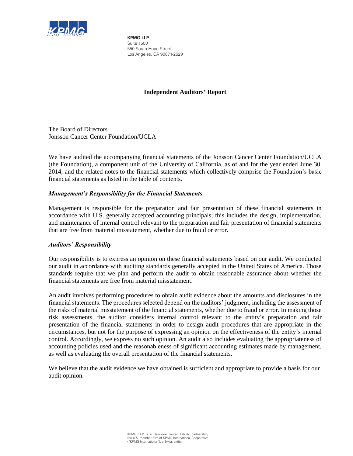

**KPMG LLP** Suite 1500 550 South Hope Street Los Angeles, CA 90071-2629

# **Independent Auditors' Report**

The Board of Directors Jonsson Cancer Center Foundation/UCLA

We have audited the accompanying financial statements of the Jonsson Cancer Center Foundation/UCLA (the Foundation), a component unit of the University of California, as of and for the year ended June 30, 2014, and the related notes to the financial statements which collectively comprise the Foundation's basic financial statements as listed in the table of contents.

# *Management's Responsibility for the Financial Statements*

Management is responsible for the preparation and fair presentation of these financial statements in accordance with U.S. generally accepted accounting principals; this includes the design, implementation, and maintenance of internal control relevant to the preparation and fair presentation of financial statements that are free from material misstatement, whether due to fraud or error.

# *Auditors' Responsibility*

Our responsibility is to express an opinion on these financial statements based on our audit. We conducted our audit in accordance with auditing standards generally accepted in the United States of America. Those standards require that we plan and perform the audit to obtain reasonable assurance about whether the financial statements are free from material misstatement.

An audit involves performing procedures to obtain audit evidence about the amounts and disclosures in the financial statements. The procedures selected depend on the auditors' judgment, including the assessment of the risks of material misstatement of the financial statements, whether due to fraud or error. In making those risk assessments, the auditor considers internal control relevant to the entity's preparation and fair presentation of the financial statements in order to design audit procedures that are appropriate in the circumstances, but not for the purpose of expressing an opinion on the effectiveness of the entity's internal control. Accordingly, we express no such opinion. An audit also includes evaluating the appropriateness of accounting policies used and the reasonableness of significant accounting estimates made by management, as well as evaluating the overall presentation of the financial statements.

We believe that the audit evidence we have obtained is sufficient and appropriate to provide a basis for our audit opinion.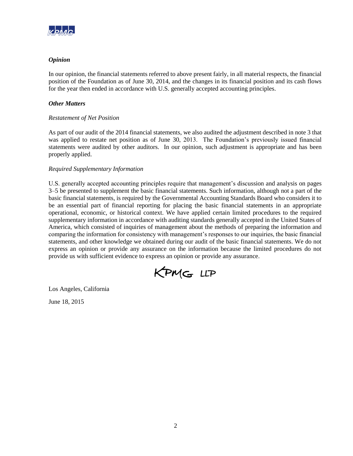

# *Opinion*

In our opinion, the financial statements referred to above present fairly, in all material respects, the financial position of the Foundation as of June 30, 2014, and the changes in its financial position and its cash flows for the year then ended in accordance with U.S. generally accepted accounting principles.

# *Other Matters*

# *Restatement of Net Position*

As part of our audit of the 2014 financial statements, we also audited the adjustment described in note 3 that was applied to restate net position as of June 30, 2013. The Foundation's previously issued financial statements were audited by other auditors. In our opinion, such adjustment is appropriate and has been properly applied.

# *Required Supplementary Information*

U.S. generally accepted accounting principles require that management's discussion and analysis on pages 3–5 be presented to supplement the basic financial statements. Such information, although not a part of the basic financial statements, is required by the Governmental Accounting Standards Board who considers it to be an essential part of financial reporting for placing the basic financial statements in an appropriate operational, economic, or historical context. We have applied certain limited procedures to the required supplementary information in accordance with auditing standards generally accepted in the United States of America, which consisted of inquiries of management about the methods of preparing the information and comparing the information for consistency with management's responses to our inquiries, the basic financial statements, and other knowledge we obtained during our audit of the basic financial statements. We do not express an opinion or provide any assurance on the information because the limited procedures do not provide us with sufficient evidence to express an opinion or provide any assurance.



Los Angeles, California

June 18, 2015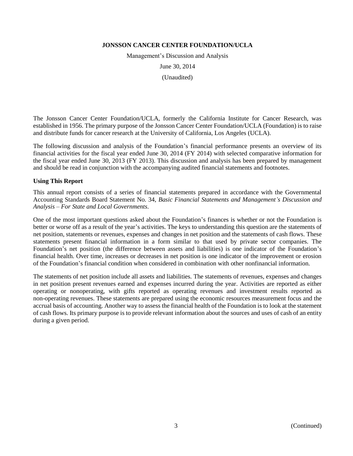Management's Discussion and Analysis

June 30, 2014

(Unaudited)

The Jonsson Cancer Center Foundation/UCLA, formerly the California Institute for Cancer Research, was established in 1956. The primary purpose of the Jonsson Cancer Center Foundation/UCLA (Foundation) is to raise and distribute funds for cancer research at the University of California, Los Angeles (UCLA).

The following discussion and analysis of the Foundation's financial performance presents an overview of its financial activities for the fiscal year ended June 30, 2014 (FY 2014) with selected comparative information for the fiscal year ended June 30, 2013 (FY 2013). This discussion and analysis has been prepared by management and should be read in conjunction with the accompanying audited financial statements and footnotes.

#### **Using This Report**

This annual report consists of a series of financial statements prepared in accordance with the Governmental Accounting Standards Board Statement No. 34, *Basic Financial Statements and Management's Discussion and Analysis – For State and Local Governments*.

One of the most important questions asked about the Foundation's finances is whether or not the Foundation is better or worse off as a result of the year's activities. The keys to understanding this question are the statements of net position, statements or revenues, expenses and changes in net position and the statements of cash flows. These statements present financial information in a form similar to that used by private sector companies. The Foundation's net position (the difference between assets and liabilities) is one indicator of the Foundation's financial health. Over time, increases or decreases in net position is one indicator of the improvement or erosion of the Foundation's financial condition when considered in combination with other nonfinancial information.

The statements of net position include all assets and liabilities. The statements of revenues, expenses and changes in net position present revenues earned and expenses incurred during the year. Activities are reported as either operating or nonoperating, with gifts reported as operating revenues and investment results reported as non-operating revenues. These statements are prepared using the economic resources measurement focus and the accrual basis of accounting. Another way to assess the financial health of the Foundation is to look at the statement of cash flows. Its primary purpose is to provide relevant information about the sources and uses of cash of an entity during a given period.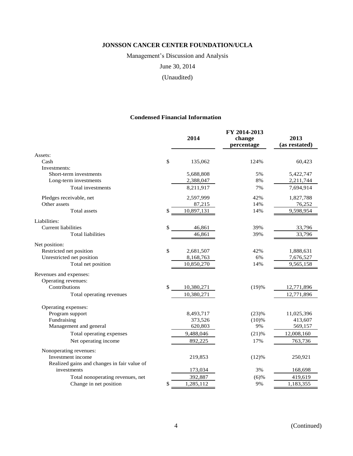Management's Discussion and Analysis

June 30, 2014

(Unaudited)

# **Condensed Financial Information**

|                                             | 2014             | FY 2014-2013<br>change<br>percentage | 2013<br>(as restated) |
|---------------------------------------------|------------------|--------------------------------------|-----------------------|
| Assets:                                     |                  |                                      |                       |
| Cash                                        | \$<br>135,062    | 124%                                 | 60,423                |
| Investments:                                |                  |                                      |                       |
| Short-term investments                      | 5,688,808        | 5%                                   | 5,422,747             |
| Long-term investments                       | 2,388,047        | 8%                                   | 2,211,744             |
| Total investments                           | 8,211,917        | 7%                                   | 7,694,914             |
| Pledges receivable, net                     | 2,597,999        | 42%                                  | 1,827,788             |
| Other assets                                | 87,215           | 14%                                  | 76,252                |
| <b>Total assets</b>                         | \$<br>10,897,131 | 14%                                  | 9,598,954             |
| Liabilities:                                |                  |                                      |                       |
| <b>Current liabilities</b>                  | \$<br>46,861     | 39%                                  | 33,796                |
| <b>Total liabilities</b>                    | 46,861           | 39%                                  | 33,796                |
| Net position:                               |                  |                                      |                       |
| Restricted net position                     | \$<br>2,681,507  | 42%                                  | 1,888,631             |
| Unrestricted net position                   | 8,168,763        | 6%                                   | 7,676,527             |
| Total net position                          | 10,850,270       | 14%                                  | 9,565,158             |
| Revenues and expenses:                      |                  |                                      |                       |
| Operating revenues:                         |                  |                                      |                       |
| Contributions                               | \$<br>10,380,271 | (19)%                                | 12,771,896            |
| Total operating revenues                    | 10,380,271       |                                      | 12,771,896            |
| Operating expenses:                         |                  |                                      |                       |
| Program support                             | 8,493,717        | (23)%                                | 11,025,396            |
| Fundraising                                 | 373,526          | (10)%                                | 413,607               |
| Management and general                      | 620,803          | 9%                                   | 569,157               |
| Total operating expenses                    | 9,488,046        | (21)%                                | 12,008,160            |
| Net operating income                        | 892,225          | 17%                                  | 763,736               |
| Nonoperating revenues:                      |                  |                                      |                       |
| Investment income                           | 219,853          | (12)%                                | 250,921               |
| Realized gains and changes in fair value of |                  |                                      |                       |
| investments                                 | 173,034          | 3%                                   | 168,698               |
| Total nonoperating revenues, net            | 392,887          | $(6)$ %                              | 419,619               |
| Change in net position                      | \$<br>1,285,112  | 9%                                   | 1,183,355             |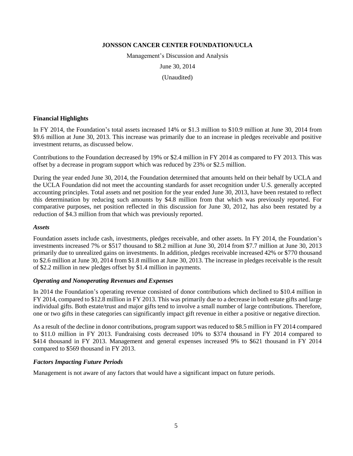Management's Discussion and Analysis

June 30, 2014

(Unaudited)

#### **Financial Highlights**

In FY 2014, the Foundation's total assets increased 14% or \$1.3 million to \$10.9 million at June 30, 2014 from \$9.6 million at June 30, 2013. This increase was primarily due to an increase in pledges receivable and positive investment returns, as discussed below.

Contributions to the Foundation decreased by 19% or \$2.4 million in FY 2014 as compared to FY 2013. This was offset by a decrease in program support which was reduced by 23% or \$2.5 million.

During the year ended June 30, 2014, the Foundation determined that amounts held on their behalf by UCLA and the UCLA Foundation did not meet the accounting standards for asset recognition under U.S. generally accepted accounting principles. Total assets and net position for the year ended June 30, 2013, have been restated to reflect this determination by reducing such amounts by \$4.8 million from that which was previously reported. For comparative purposes, net position reflected in this discussion for June 30, 2012, has also been restated by a reduction of \$4.3 million from that which was previously reported.

#### *Assets*

Foundation assets include cash, investments, pledges receivable, and other assets. In FY 2014, the Foundation's investments increased 7% or \$517 thousand to \$8.2 million at June 30, 2014 from \$7.7 million at June 30, 2013 primarily due to unrealized gains on investments. In addition, pledges receivable increased 42% or \$770 thousand to \$2.6 million at June 30, 2014 from \$1.8 million at June 30, 2013. The increase in pledges receivable is the result of \$2.2 million in new pledges offset by \$1.4 million in payments.

#### *Operating and Nonoperating Revenues and Expenses*

In 2014 the Foundation's operating revenue consisted of donor contributions which declined to \$10.4 million in FY 2014, compared to \$12.8 million in FY 2013. This was primarily due to a decrease in both estate gifts and large individual gifts. Both estate/trust and major gifts tend to involve a small number of large contributions. Therefore, one or two gifts in these categories can significantly impact gift revenue in either a positive or negative direction.

As a result of the decline in donor contributions, program support was reduced to \$8.5 million in FY 2014 compared to \$11.0 million in FY 2013. Fundraising costs decreased 10% to \$374 thousand in FY 2014 compared to \$414 thousand in FY 2013. Management and general expenses increased 9% to \$621 thousand in FY 2014 compared to \$569 thousand in FY 2013.

# *Factors Impacting Future Periods*

Management is not aware of any factors that would have a significant impact on future periods.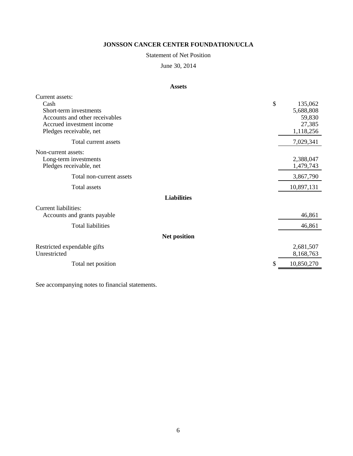# Statement of Net Position

June 30, 2014

# **Assets**

| Current assets:                |                     |            |
|--------------------------------|---------------------|------------|
| Cash                           | \$                  | 135,062    |
| Short-term investments         |                     | 5,688,808  |
| Accounts and other receivables |                     | 59,830     |
| Accrued investment income      |                     | 27,385     |
| Pledges receivable, net        |                     | 1,118,256  |
| Total current assets           |                     | 7,029,341  |
| Non-current assets:            |                     |            |
| Long-term investments          |                     | 2,388,047  |
| Pledges receivable, net        |                     | 1,479,743  |
| Total non-current assets       |                     | 3,867,790  |
| Total assets                   |                     | 10,897,131 |
|                                | <b>Liabilities</b>  |            |
| <b>Current liabilities:</b>    |                     |            |
| Accounts and grants payable    |                     | 46,861     |
| <b>Total liabilities</b>       |                     | 46,861     |
|                                | <b>Net position</b> |            |
| Restricted expendable gifts    |                     | 2,681,507  |
| Unrestricted                   |                     | 8,168,763  |
| Total net position             | \$                  | 10,850,270 |
|                                |                     |            |

See accompanying notes to financial statements.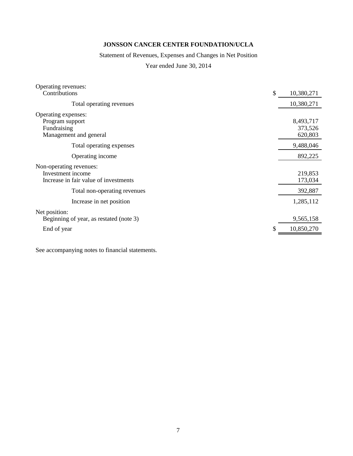# Statement of Revenues, Expenses and Changes in Net Position

Year ended June 30, 2014

| Operating revenues:<br>Contributions                                                  | \$<br>10,380,271                |
|---------------------------------------------------------------------------------------|---------------------------------|
| Total operating revenues                                                              | 10,380,271                      |
| Operating expenses:<br>Program support<br>Fundraising<br>Management and general       | 8,493,717<br>373,526<br>620,803 |
| Total operating expenses                                                              | 9,488,046                       |
| Operating income                                                                      | 892,225                         |
| Non-operating revenues:<br>Investment income<br>Increase in fair value of investments | 219,853<br>173,034              |
| Total non-operating revenues                                                          | 392,887                         |
| Increase in net position                                                              | 1,285,112                       |
| Net position:<br>Beginning of year, as restated (note 3)                              | 9,565,158                       |
| End of year                                                                           | \$<br>10,850,270                |
|                                                                                       |                                 |

See accompanying notes to financial statements.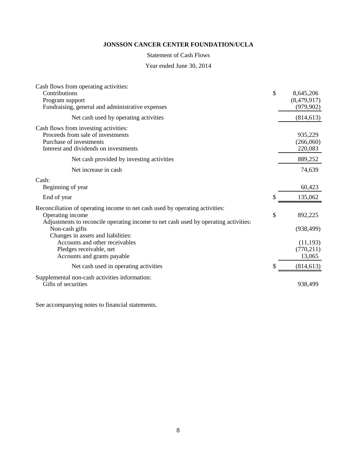### Statement of Cash Flows

Year ended June 30, 2014

| Cash flows from operating activities:                                               |                  |
|-------------------------------------------------------------------------------------|------------------|
| Contributions                                                                       | \$<br>8,645,206  |
| Program support                                                                     | (8,479,917)      |
| Fundraising, general and administrative expenses                                    | (979, 902)       |
| Net cash used by operating activities                                               | (814, 613)       |
| Cash flows from investing activities:                                               |                  |
| Proceeds from sale of investments                                                   | 935,229          |
| Purchase of investments                                                             | (266,060)        |
| Interest and dividends on investments                                               | 220,083          |
| Net cash provided by investing activities                                           | 889,252          |
| Net increase in cash                                                                | 74,639           |
| Cash:                                                                               |                  |
| Beginning of year                                                                   | 60,423           |
| End of year                                                                         | \$<br>135,062    |
| Reconciliation of operating income to net cash used by operating activities:        |                  |
| Operating income                                                                    | \$<br>892,225    |
| Adjustments to reconcile operating income to net cash used by operating activities: |                  |
| Non-cash gifts                                                                      | (938, 499)       |
| Changes in assets and liabilities:                                                  |                  |
| Accounts and other receivables                                                      | (11, 193)        |
| Pledges receivable, net                                                             | (770, 211)       |
| Accounts and grants payable                                                         | 13,065           |
| Net cash used in operating activities                                               | \$<br>(814, 613) |
| Supplemental non-cash activities information:                                       |                  |
| Gifts of securities                                                                 | 938,499          |
|                                                                                     |                  |

See accompanying notes to financial statements.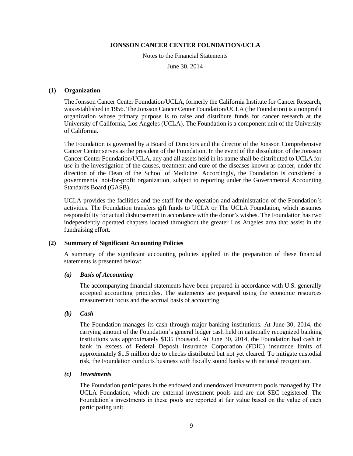Notes to the Financial Statements

June 30, 2014

#### **(1) Organization**

The Jonsson Cancer Center Foundation/UCLA, formerly the California Institute for Cancer Research, was established in 1956. The Jonsson Cancer Center Foundation/UCLA (the Foundation) is a nonprofit organization whose primary purpose is to raise and distribute funds for cancer research at the University of California, Los Angeles (UCLA). The Foundation is a component unit of the University of California.

The Foundation is governed by a Board of Directors and the director of the Jonsson Comprehensive Cancer Center serves as the president of the Foundation. In the event of the dissolution of the Jonsson Cancer Center Foundation/UCLA, any and all assets held in its name shall be distributed to UCLA for use in the investigation of the causes, treatment and cure of the diseases known as cancer, under the direction of the Dean of the School of Medicine. Accordingly, the Foundation is considered a governmental not-for-profit organization, subject to reporting under the Governmental Accounting Standards Board (GASB).

UCLA provides the facilities and the staff for the operation and administration of the Foundation's activities. The Foundation transfers gift funds to UCLA or The UCLA Foundation, which assumes responsibility for actual disbursement in accordance with the donor's wishes. The Foundation has two independently operated chapters located throughout the greater Los Angeles area that assist in the fundraising effort.

#### **(2) Summary of Significant Accounting Policies**

A summary of the significant accounting policies applied in the preparation of these financial statements is presented below:

#### *(a) Basis of Accounting*

The accompanying financial statements have been prepared in accordance with U.S. generally accepted accounting principles. The statements are prepared using the economic resources measurement focus and the accrual basis of accounting.

#### *(b) Cash*

The Foundation manages its cash through major banking institutions. At June 30, 2014, the carrying amount of the Foundation's general ledger cash held in nationally recognized banking institutions was approximately \$135 thousand. At June 30, 2014, the Foundation had cash in bank in excess of Federal Deposit Insurance Corporation (FDIC) insurance limits of approximately \$1.5 million due to checks distributed but not yet cleared. To mitigate custodial risk, the Foundation conducts business with fiscally sound banks with national recognition.

#### *(c) Investments*

The Foundation participates in the endowed and unendowed investment pools managed by The UCLA Foundation, which are external investment pools and are not SEC registered. The Foundation's investments in these pools are reported at fair value based on the value of each participating unit.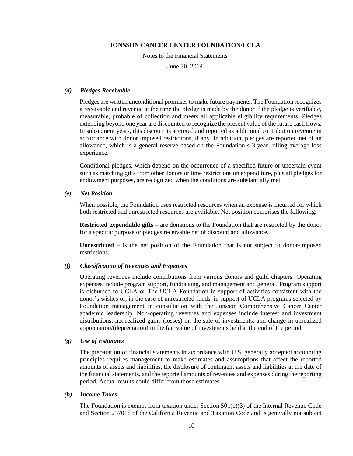Notes to the Financial Statements

June 30, 2014

#### *(d) Pledges Receivable*

Pledges are written unconditional promises to make future payments. The Foundation recognizes a receivable and revenue at the time the pledge is made by the donor if the pledge is verifiable, measurable, probable of collection and meets all applicable eligibility requirements. Pledges extending beyond one year are discounted to recognize the present value of the future cash flows. In subsequent years, this discount is accreted and reported as additional contribution revenue in accordance with donor imposed restrictions, if any. In addition, pledges are reported net of an allowance, which is a general reserve based on the Foundation's 3-year rolling average loss experience.

Conditional pledges, which depend on the occurrence of a specified future or uncertain event such as matching gifts from other donors or time restrictions on expenditure, plus all pledges for endowment purposes, are recognized when the conditions are substantially met.

*(e) Net Position*

When possible, the Foundation uses restricted resources when an expense is incurred for which both restricted and unrestricted resources are available. Net position comprises the following:

**Restricted expendable gifts** *–* are donations to the Foundation that are restricted by the donor for a specific purpose or pledges receivable net of discount and allowance.

**Unrestricted** *–* is the net position of the Foundation that is not subject to donor-imposed restrictions*.*

# *(f) Classification of Revenues and Expenses*

Operating revenues include contributions from various donors and guild chapters. Operating expenses include program support, fundraising, and management and general. Program support is disbursed to UCLA or The UCLA Foundation in support of activities consistent with the donor's wishes or, in the case of unrestricted funds, in support of UCLA programs selected by Foundation management in consultation with the Jonsson Comprehensive Cancer Center academic leadership. Non-operating revenues and expenses include interest and investment distributions, net realized gains (losses) on the sale of investments, and change in unrealized appreciation/(depreciation) in the fair value of investments held at the end of the period.

#### *(g) Use of Estimates*

The preparation of financial statements in accordance with U.S. generally accepted accounting principles requires management to make estimates and assumptions that affect the reported amounts of assets and liabilities, the disclosure of contingent assets and liabilities at the date of the financial statements, and the reported amounts of revenues and expenses during the reporting period. Actual results could differ from those estimates.

#### *(h) Income Taxes*

The Foundation is exempt from taxation under Section  $501(c)(3)$  of the Internal Revenue Code and Section 23701d of the California Revenue and Taxation Code and is generally not subject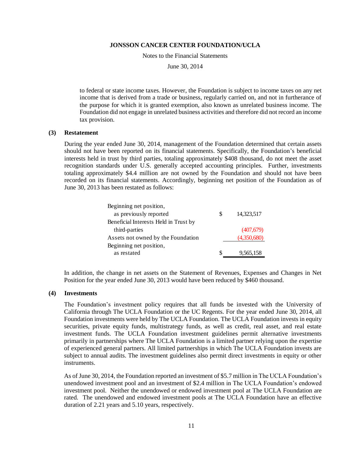Notes to the Financial Statements

June 30, 2014

to federal or state income taxes. However, the Foundation is subject to income taxes on any net income that is derived from a trade or business, regularly carried on, and not in furtherance of the purpose for which it is granted exemption, also known as unrelated business income. The Foundation did not engage in unrelated business activities and therefore did not record an income tax provision.

#### **(3) Restatement**

During the year ended June 30, 2014, management of the Foundation determined that certain assets should not have been reported on its financial statements. Specifically, the Foundation's beneficial interests held in trust by third parties, totaling approximately \$408 thousand, do not meet the asset recognition standards under U.S. generally accepted accounting principles. Further, investments totaling approximately \$4.4 million are not owned by the Foundation and should not have been recorded on its financial statements. Accordingly, beginning net position of the Foundation as of June 30, 2013 has been restated as follows:

| Beginning net position,               |   |             |
|---------------------------------------|---|-------------|
| as previously reported                | S | 14,323,517  |
| Beneficial Interests Held in Trust by |   |             |
| third-parties                         |   | (407,679)   |
| Assets not owned by the Foundation    |   | (4,350,680) |
| Beginning net position,               |   |             |
| as restated                           | S | 9,565,158   |

In addition, the change in net assets on the Statement of Revenues, Expenses and Changes in Net Position for the year ended June 30, 2013 would have been reduced by \$460 thousand.

#### **(4) Investments**

The Foundation's investment policy requires that all funds be invested with the University of California through The UCLA Foundation or the UC Regents. For the year ended June 30, 2014, all Foundation investments were held by The UCLA Foundation. The UCLA Foundation invests in equity securities, private equity funds, multistrategy funds, as well as credit, real asset, and real estate investment funds. The UCLA Foundation investment guidelines permit alternative investments primarily in partnerships where The UCLA Foundation is a limited partner relying upon the expertise of experienced general partners. All limited partnerships in which The UCLA Foundation invests are subject to annual audits. The investment guidelines also permit direct investments in equity or other instruments.

As of June 30, 2014, the Foundation reported an investment of \$5.7 million in The UCLA Foundation's unendowed investment pool and an investment of \$2.4 million in The UCLA Foundation's endowed investment pool. Neither the unendowed or endowed investment pool at The UCLA Foundation are rated. The unendowed and endowed investment pools at The UCLA Foundation have an effective duration of 2.21 years and 5.10 years, respectively.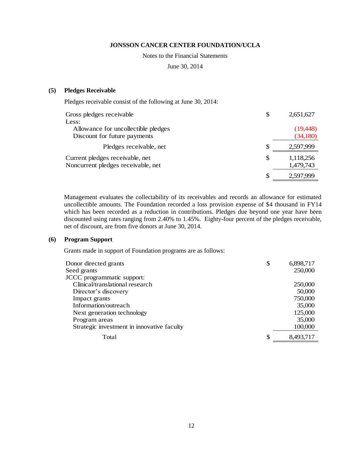#### Notes to the Financial Statements

June 30, 2014

### **(5) Pledges Receivable**

Pledges receivable consist of the following at June 30, 2014:

| Gross pledges receivable                                              | \$            | 2,651,627              |
|-----------------------------------------------------------------------|---------------|------------------------|
| Less:                                                                 |               |                        |
| Allowance for uncollectible pledges                                   |               | (19, 448)              |
| Discount for future payments                                          |               | (34,180)               |
| Pledges receivable, net                                               | <sup>\$</sup> | 2,597,999              |
| Current pledges receivable, net<br>Noncurrent pledges receivable, net | S             | 1,118,256<br>1,479,743 |
|                                                                       | S             | 2.597.999              |

Management evaluates the collectability of its receivables and records an allowance for estimated uncollectible amounts. The Foundation recorded a loss provision expense of \$4 thousand in FY14 which has been recorded as a reduction in contributions. Pledges due beyond one year have been discounted using rates ranging from 2.40% to 1.45%. Eighty-four percent of the pledges receivable, net of discount, are from five donors at June 30, 2014.

#### **(6) Program Support**

Grants made in support of Foundation programs are as follows:

| Donor directed grants                      | \$<br>6,898,717 |
|--------------------------------------------|-----------------|
| Seed grants                                | 250,000         |
| JCCC programmatic support:                 |                 |
| Clinical/translational research            | 250,000         |
| Director's discovery                       | 50,000          |
| Impact grants                              | 750,000         |
| Information/outreach                       | 35,000          |
| Next generation technology                 | 125,000         |
| Program areas                              | 35,000          |
| Strategic investment in innovative faculty | 100,000         |
| Total                                      | \$<br>8,493,717 |